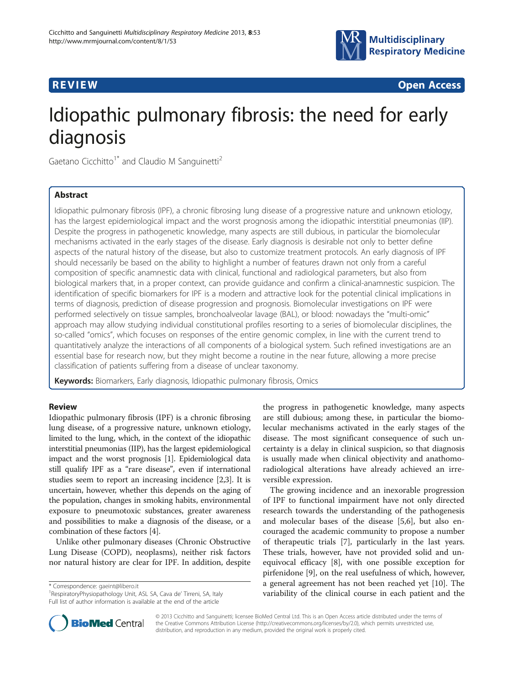



# Idiopathic pulmonary fibrosis: the need for early diagnosis

Gaetano Cicchitto<sup>1\*</sup> and Claudio M Sanguinetti<sup>2</sup>

# Abstract

Idiopathic pulmonary fibrosis (IPF), a chronic fibrosing lung disease of a progressive nature and unknown etiology, has the largest epidemiological impact and the worst prognosis among the idiopathic interstitial pneumonias (IIP). Despite the progress in pathogenetic knowledge, many aspects are still dubious, in particular the biomolecular mechanisms activated in the early stages of the disease. Early diagnosis is desirable not only to better define aspects of the natural history of the disease, but also to customize treatment protocols. An early diagnosis of IPF should necessarily be based on the ability to highlight a number of features drawn not only from a careful composition of specific anamnestic data with clinical, functional and radiological parameters, but also from biological markers that, in a proper context, can provide guidance and confirm a clinical-anamnestic suspicion. The identification of specific biomarkers for IPF is a modern and attractive look for the potential clinical implications in terms of diagnosis, prediction of disease progression and prognosis. Biomolecular investigations on IPF were performed selectively on tissue samples, bronchoalveolar lavage (BAL), or blood: nowadays the "multi-omic" approach may allow studying individual constitutional profiles resorting to a series of biomolecular disciplines, the so-called "omics", which focuses on responses of the entire genomic complex, in line with the current trend to quantitatively analyze the interactions of all components of a biological system. Such refined investigations are an essential base for research now, but they might become a routine in the near future, allowing a more precise classification of patients suffering from a disease of unclear taxonomy.

**Keywords:** Biomarkers, Early diagnosis, Idiopathic pulmonary fibrosis, Omics

# Review

Idiopathic pulmonary fibrosis (IPF) is a chronic fibrosing lung disease, of a progressive nature, unknown etiology, limited to the lung, which, in the context of the idiopathic interstitial pneumonias (IIP), has the largest epidemiological impact and the worst prognosis [[1](#page-4-0)]. Epidemiological data still qualify IPF as a "rare disease", even if international studies seem to report an increasing incidence [\[2,3\]](#page-4-0). It is uncertain, however, whether this depends on the aging of the population, changes in smoking habits, environmental exposure to pneumotoxic substances, greater awareness and possibilities to make a diagnosis of the disease, or a combination of these factors [\[4\]](#page-4-0).

Unlike other pulmonary diseases (Chronic Obstructive Lung Disease (COPD), neoplasms), neither risk factors nor natural history are clear for IPF. In addition, despite

\* Correspondence: [gaeint@libero.it](mailto:gaeint@libero.it) <sup>1</sup>

<sup>1</sup> RespiratoryPhysiopathology Unit, ASL SA, Cava de' Tirreni, SA, Italy Full list of author information is available at the end of the article

the progress in pathogenetic knowledge, many aspects are still dubious; among these, in particular the biomolecular mechanisms activated in the early stages of the disease. The most significant consequence of such uncertainty is a delay in clinical suspicion, so that diagnosis is usually made when clinical objectivity and anathomoradiological alterations have already achieved an irreversible expression.

The growing incidence and an inexorable progression of IPF to functional impairment have not only directed research towards the understanding of the pathogenesis and molecular bases of the disease [[5,6\]](#page-4-0), but also encouraged the academic community to propose a number of therapeutic trials [[7\]](#page-4-0), particularly in the last years. These trials, however, have not provided solid and unequivocal efficacy [[8\]](#page-4-0), with one possible exception for pirfenidone [[9\]](#page-4-0), on the real usefulness of which, however, a general agreement has not been reached yet [[10](#page-4-0)]. The variability of the clinical course in each patient and the



© 2013 Cicchitto and Sanguinetti; licensee BioMed Central Ltd. This is an Open Access article distributed under the terms of the Creative Commons Attribution License [\(http://creativecommons.org/licenses/by/2.0\)](http://creativecommons.org/licenses/by/2.0), which permits unrestricted use, distribution, and reproduction in any medium, provided the original work is properly cited.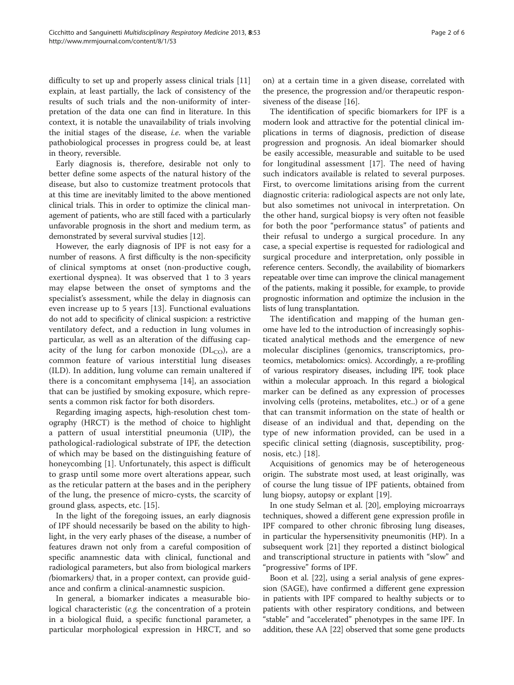difficulty to set up and properly assess clinical trials [[11](#page-4-0)] explain, at least partially, the lack of consistency of the results of such trials and the non-uniformity of interpretation of the data one can find in literature. In this context, it is notable the unavailability of trials involving the initial stages of the disease, i.e. when the variable pathobiological processes in progress could be, at least in theory, reversible.

Early diagnosis is, therefore, desirable not only to better define some aspects of the natural history of the disease, but also to customize treatment protocols that at this time are inevitably limited to the above mentioned clinical trials. This in order to optimize the clinical management of patients, who are still faced with a particularly unfavorable prognosis in the short and medium term, as demonstrated by several survival studies [\[12\]](#page-4-0).

However, the early diagnosis of IPF is not easy for a number of reasons. A first difficulty is the non-specificity of clinical symptoms at onset (non-productive cough, exertional dyspnea). It was observed that 1 to 3 years may elapse between the onset of symptoms and the specialist's assessment, while the delay in diagnosis can even increase up to 5 years [[13\]](#page-4-0). Functional evaluations do not add to specificity of clinical suspicion: a restrictive ventilatory defect, and a reduction in lung volumes in particular, as well as an alteration of the diffusing capacity of the lung for carbon monoxide ( $DL<sub>CO</sub>$ ), are a common feature of various interstitial lung diseases (ILD). In addition, lung volume can remain unaltered if there is a concomitant emphysema [[14](#page-4-0)], an association that can be justified by smoking exposure, which represents a common risk factor for both disorders.

Regarding imaging aspects, high-resolution chest tomography (HRCT) is the method of choice to highlight a pattern of usual interstitial pneumonia (UIP), the pathological-radiological substrate of IPF, the detection of which may be based on the distinguishing feature of honeycombing [\[1](#page-4-0)]. Unfortunately, this aspect is difficult to grasp until some more overt alterations appear, such as the reticular pattern at the bases and in the periphery of the lung, the presence of micro-cysts, the scarcity of ground glass, aspects, etc. [[15\]](#page-4-0).

In the light of the foregoing issues, an early diagnosis of IPF should necessarily be based on the ability to highlight, in the very early phases of the disease, a number of features drawn not only from a careful composition of specific anamnestic data with clinical, functional and radiological parameters, but also from biological markers (biomarkers) that, in a proper context, can provide guidance and confirm a clinical-anamnestic suspicion.

In general, a biomarker indicates a measurable biological characteristic (e.g. the concentration of a protein in a biological fluid, a specific functional parameter, a particular morphological expression in HRCT, and so on) at a certain time in a given disease, correlated with the presence, the progression and/or therapeutic responsiveness of the disease [[16\]](#page-4-0).

The identification of specific biomarkers for IPF is a modern look and attractive for the potential clinical implications in terms of diagnosis, prediction of disease progression and prognosis. An ideal biomarker should be easily accessible, measurable and suitable to be used for longitudinal assessment [\[17](#page-4-0)]. The need of having such indicators available is related to several purposes. First, to overcome limitations arising from the current diagnostic criteria: radiological aspects are not only late, but also sometimes not univocal in interpretation. On the other hand, surgical biopsy is very often not feasible for both the poor "performance status" of patients and their refusal to undergo a surgical procedure. In any case, a special expertise is requested for radiological and surgical procedure and interpretation, only possible in reference centers. Secondly, the availability of biomarkers repeatable over time can improve the clinical management of the patients, making it possible, for example, to provide prognostic information and optimize the inclusion in the lists of lung transplantation.

The identification and mapping of the human genome have led to the introduction of increasingly sophisticated analytical methods and the emergence of new molecular disciplines (genomics, transcriptomics, proteomics, metabolomics: omics). Accordingly, a re-profiling of various respiratory diseases, including IPF, took place within a molecular approach. In this regard a biological marker can be defined as any expression of processes involving cells (proteins, metabolites, etc..) or of a gene that can transmit information on the state of health or disease of an individual and that, depending on the type of new information provided, can be used in a specific clinical setting (diagnosis, susceptibility, prognosis, etc.) [[18\]](#page-4-0).

Acquisitions of genomics may be of heterogeneous origin. The substrate most used, at least originally, was of course the lung tissue of IPF patients, obtained from lung biopsy, autopsy or explant [\[19\]](#page-4-0).

In one study Selman et al. [[20](#page-4-0)], employing microarrays techniques, showed a different gene expression profile in IPF compared to other chronic fibrosing lung diseases, in particular the hypersensitivity pneumonitis (HP). In a subsequent work [[21](#page-4-0)] they reported a distinct biological and transcriptional structure in patients with "slow" and "progressive" forms of IPF.

Boon et al. [\[22](#page-4-0)], using a serial analysis of gene expression (SAGE), have confirmed a different gene expression in patients with IPF compared to healthy subjects or to patients with other respiratory conditions, and between "stable" and "accelerated" phenotypes in the same IPF. In addition, these AA [\[22](#page-4-0)] observed that some gene products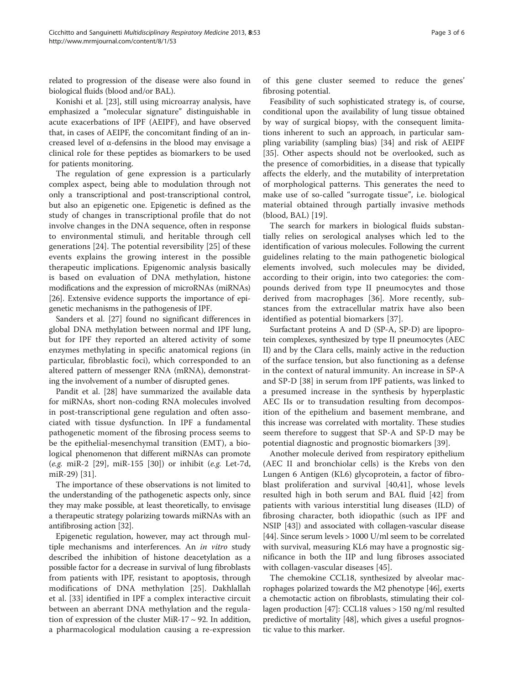related to progression of the disease were also found in biological fluids (blood and/or BAL).

Konishi et al. [[23\]](#page-4-0), still using microarray analysis, have emphasized a "molecular signature" distinguishable in acute exacerbations of IPF (AEIPF), and have observed that, in cases of AEIPF, the concomitant finding of an increased level of α-defensins in the blood may envisage a clinical role for these peptides as biomarkers to be used for patients monitoring.

The regulation of gene expression is a particularly complex aspect, being able to modulation through not only a transcriptional and post-transcriptional control, but also an epigenetic one. Epigenetic is defined as the study of changes in transcriptional profile that do not involve changes in the DNA sequence, often in response to environmental stimuli, and heritable through cell generations [[24\]](#page-4-0). The potential reversibility [\[25](#page-4-0)] of these events explains the growing interest in the possible therapeutic implications. Epigenomic analysis basically is based on evaluation of DNA methylation, histone modifications and the expression of microRNAs (miRNAs) [[26](#page-4-0)]. Extensive evidence supports the importance of epigenetic mechanisms in the pathogenesis of IPF.

Sanders et al. [[27\]](#page-4-0) found no significant differences in global DNA methylation between normal and IPF lung, but for IPF they reported an altered activity of some enzymes methylating in specific anatomical regions (in particular, fibroblastic foci), which corresponded to an altered pattern of messenger RNA (mRNA), demonstrating the involvement of a number of disrupted genes.

Pandit et al. [\[28](#page-4-0)] have summarized the available data for miRNAs, short non-coding RNA molecules involved in post-transcriptional gene regulation and often associated with tissue dysfunction. In IPF a fundamental pathogenetic moment of the fibrosing process seems to be the epithelial-mesenchymal transition (EMT), a biological phenomenon that different miRNAs can promote (e.g. miR-2 [[29\]](#page-4-0), miR-155 [[30](#page-4-0)]) or inhibit (e.g. Let-7d, miR-29) [\[31](#page-4-0)].

The importance of these observations is not limited to the understanding of the pathogenetic aspects only, since they may make possible, at least theoretically, to envisage a therapeutic strategy polarizing towards miRNAs with an antifibrosing action [[32](#page-4-0)].

Epigenetic regulation, however, may act through multiple mechanisms and interferences. An *in vitro* study described the inhibition of histone deacetylation as a possible factor for a decrease in survival of lung fibroblasts from patients with IPF, resistant to apoptosis, through modifications of DNA methylation [[25\]](#page-4-0). Dakhlallah et al. [\[33](#page-4-0)] identified in IPF a complex interactive circuit between an aberrant DNA methylation and the regulation of expression of the cluster MiR-17  $\sim$  92. In addition, a pharmacological modulation causing a re-expression

of this gene cluster seemed to reduce the genes' fibrosing potential.

Feasibility of such sophisticated strategy is, of course, conditional upon the availability of lung tissue obtained by way of surgical biopsy, with the consequent limitations inherent to such an approach, in particular sampling variability (sampling bias) [\[34](#page-4-0)] and risk of AEIPF [[35\]](#page-4-0). Other aspects should not be overlooked, such as the presence of comorbidities, in a disease that typically affects the elderly, and the mutability of interpretation of morphological patterns. This generates the need to make use of so-called "surrogate tissue", i.e. biological material obtained through partially invasive methods (blood, BAL) [\[19](#page-4-0)].

The search for markers in biological fluids substantially relies on serological analyses which led to the identification of various molecules. Following the current guidelines relating to the main pathogenetic biological elements involved, such molecules may be divided, according to their origin, into two categories: the compounds derived from type II pneumocytes and those derived from macrophages [[36](#page-4-0)]. More recently, substances from the extracellular matrix have also been identified as potential biomarkers [[37\]](#page-4-0).

Surfactant proteins A and D (SP-A, SP-D) are lipoprotein complexes, synthesized by type II pneumocytes (AEC II) and by the Clara cells, mainly active in the reduction of the surface tension, but also functioning as a defense in the context of natural immunity. An increase in SP-A and SP-D [\[38](#page-4-0)] in serum from IPF patients, was linked to a presumed increase in the synthesis by hyperplastic AEC IIs or to transudation resulting from decomposition of the epithelium and basement membrane, and this increase was correlated with mortality. These studies seem therefore to suggest that SP-A and SP-D may be potential diagnostic and prognostic biomarkers [\[39](#page-4-0)].

Another molecule derived from respiratory epithelium (AEC II and bronchiolar cells) is the Krebs von den Lungen 6 Antigen (KL6) glycoprotein, a factor of fibroblast proliferation and survival [\[40](#page-4-0),[41\]](#page-4-0), whose levels resulted high in both serum and BAL fluid [[42\]](#page-4-0) from patients with various interstitial lung diseases (ILD) of fibrosing character, both idiopathic (such as IPF and NSIP [[43\]](#page-5-0)) and associated with collagen-vascular disease [[44](#page-5-0)]. Since serum levels > 1000 U/ml seem to be correlated with survival, measuring KL6 may have a prognostic significance in both the IIP and lung fibroses associated with collagen-vascular diseases [[45](#page-5-0)].

The chemokine CCL18, synthesized by alveolar macrophages polarized towards the M2 phenotype [\[46\]](#page-5-0), exerts a chemotactic action on fibroblasts, stimulating their collagen production [\[47\]](#page-5-0): CCL18 values > 150 ng/ml resulted predictive of mortality [[48](#page-5-0)], which gives a useful prognostic value to this marker.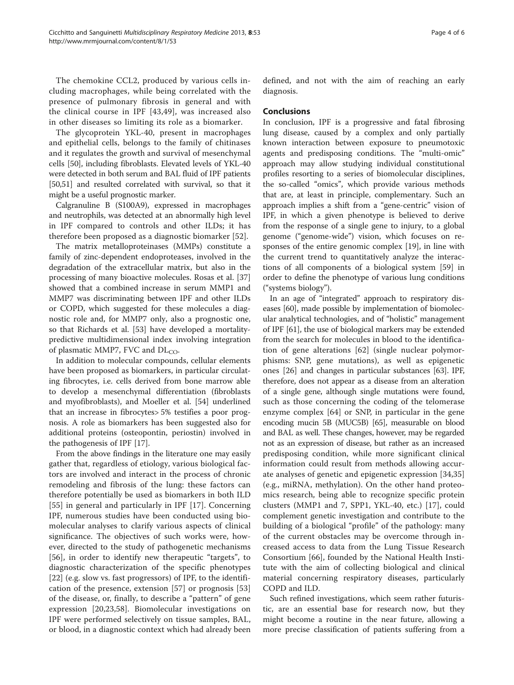The chemokine CCL2, produced by various cells including macrophages, while being correlated with the presence of pulmonary fibrosis in general and with the clinical course in IPF [[43,49](#page-5-0)], was increased also in other diseases so limiting its role as a biomarker.

The glycoprotein YKL-40, present in macrophages and epithelial cells, belongs to the family of chitinases and it regulates the growth and survival of mesenchymal cells [\[50\]](#page-5-0), including fibroblasts. Elevated levels of YKL-40 were detected in both serum and BAL fluid of IPF patients [[50,51](#page-5-0)] and resulted correlated with survival, so that it might be a useful prognostic marker.

Calgranuline B (S100A9), expressed in macrophages and neutrophils, was detected at an abnormally high level in IPF compared to controls and other ILDs; it has therefore been proposed as a diagnostic biomarker [\[52](#page-5-0)].

The matrix metalloproteinases (MMPs) constitute a family of zinc-dependent endoproteases, involved in the degradation of the extracellular matrix, but also in the processing of many bioactive molecules. Rosas et al. [[37](#page-4-0)] showed that a combined increase in serum MMP1 and MMP7 was discriminating between IPF and other ILDs or COPD, which suggested for these molecules a diagnostic role and, for MMP7 only, also a prognostic one, so that Richards et al. [[53\]](#page-5-0) have developed a mortalitypredictive multidimensional index involving integration of plasmatic MMP7, FVC and  $DL<sub>CO</sub>$ .

In addition to molecular compounds, cellular elements have been proposed as biomarkers, in particular circulating fibrocytes, i.e. cells derived from bone marrow able to develop a mesenchymal differentiation (fibroblasts and myofibroblasts), and Moeller et al. [\[54\]](#page-5-0) underlined that an increase in fibrocytes> 5% testifies a poor prognosis. A role as biomarkers has been suggested also for additional proteins (osteopontin, periostin) involved in the pathogenesis of IPF [[17](#page-4-0)].

From the above findings in the literature one may easily gather that, regardless of etiology, various biological factors are involved and interact in the process of chronic remodeling and fibrosis of the lung: these factors can therefore potentially be used as biomarkers in both ILD [[55\]](#page-5-0) in general and particularly in IPF [\[17](#page-4-0)]. Concerning IPF, numerous studies have been conducted using biomolecular analyses to clarify various aspects of clinical significance. The objectives of such works were, however, directed to the study of pathogenetic mechanisms [[56\]](#page-5-0), in order to identify new therapeutic "targets", to diagnostic characterization of the specific phenotypes [[22\]](#page-4-0) (e.g. slow vs. fast progressors) of IPF, to the identification of the presence, extension [[57\]](#page-5-0) or prognosis [\[53](#page-5-0)] of the disease, or, finally, to describe a "pattern" of gene expression [[20,23](#page-4-0)[,58](#page-5-0)]. Biomolecular investigations on IPF were performed selectively on tissue samples, BAL, or blood, in a diagnostic context which had already been defined, and not with the aim of reaching an early diagnosis.

# **Conclusions**

In conclusion, IPF is a progressive and fatal fibrosing lung disease, caused by a complex and only partially known interaction between exposure to pneumotoxic agents and predisposing conditions. The "multi-omic" approach may allow studying individual constitutional profiles resorting to a series of biomolecular disciplines, the so-called "omics", which provide various methods that are, at least in principle, complementary. Such an approach implies a shift from a "gene-centric" vision of IPF, in which a given phenotype is believed to derive from the response of a single gene to injury, to a global genome ("genome-wide") vision, which focuses on responses of the entire genomic complex [[19\]](#page-4-0), in line with the current trend to quantitatively analyze the interactions of all components of a biological system [[59\]](#page-5-0) in order to define the phenotype of various lung conditions ("systems biology").

In an age of "integrated" approach to respiratory diseases [\[60\]](#page-5-0), made possible by implementation of biomolecular analytical technologies, and of "holistic" management of IPF [[61](#page-5-0)], the use of biological markers may be extended from the search for molecules in blood to the identification of gene alterations [[62\]](#page-5-0) (single nuclear polymorphisms: SNP, gene mutations), as well as epigenetic ones [\[26](#page-4-0)] and changes in particular substances [\[63\]](#page-5-0). IPF, therefore, does not appear as a disease from an alteration of a single gene, although single mutations were found, such as those concerning the coding of the telomerase enzyme complex [\[64](#page-5-0)] or SNP, in particular in the gene encoding mucin 5B (MUC5B) [\[65\]](#page-5-0), measurable on blood and BAL as well. These changes, however, may be regarded not as an expression of disease, but rather as an increased predisposing condition, while more significant clinical information could result from methods allowing accurate analyses of genetic and epigenetic expression [\[34,35](#page-4-0)] (e.g., miRNA, methylation). On the other hand proteomics research, being able to recognize specific protein clusters (MMP1 and 7, SPP1, YKL-40, etc.) [\[17](#page-4-0)], could complement genetic investigation and contribute to the building of a biological "profile" of the pathology: many of the current obstacles may be overcome through increased access to data from the Lung Tissue Research Consortium [[66](#page-5-0)], founded by the National Health Institute with the aim of collecting biological and clinical material concerning respiratory diseases, particularly COPD and ILD.

Such refined investigations, which seem rather futuristic, are an essential base for research now, but they might become a routine in the near future, allowing a more precise classification of patients suffering from a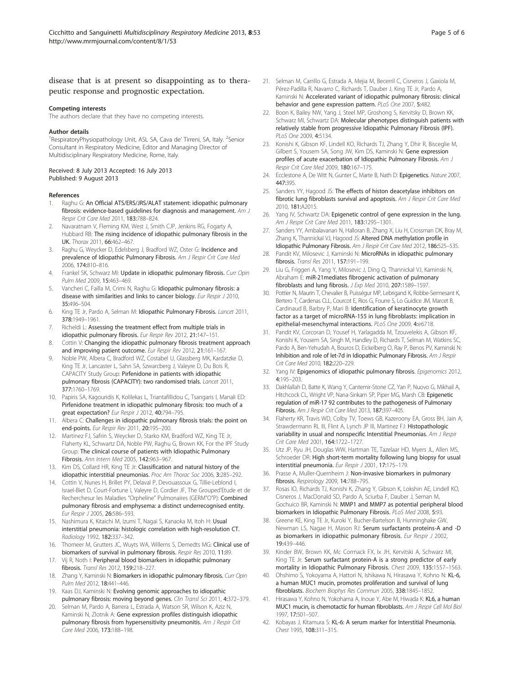# <span id="page-4-0"></span>disease that is at present so disappointing as to therapeutic response and prognostic expectation.

#### Competing interests

The authors declare that they have no competing interests.

#### Author details

<sup>1</sup> RespiratoryPhysiopathology Unit, ASL SA, Cava de' Tirreni, SA, Italy. <sup>2</sup>Senior Consultant in Respiratory Medicine, Editor and Managing Director of Multidisciplinary Respiratory Medicine, Rome, Italy.

#### Received: 8 July 2013 Accepted: 16 July 2013 Published: 9 August 2013

#### References

- 1. Raghu G: An Official ATS/ERS/JRS/ALAT statement: idiopathic pulmonary fibrosis: evidence-based guidelines for diagnosis and management. Am J Respir Crit Care Med 2011, 183:788–824.
- 2. Navaratnam V, Fleming KM, West J, Smith CJP, Jenkins RG, Fogarty A, Hubbard RB: The rising incidence of idiopathic pulmonary fibrosis in the UK. Thorax 2011, 66:462–467.
- 3. Raghu G, Weycker D, Edelsberg J, Bradford WZ, Oster G: Incidence and prevalence of Idiopathic Pulmonary Fibrosis. Am J Respir Crit Care Med 2006, 174:810–816.
- 4. Frankel SK, Schwarz MI: Update in idiopathic pulmonary fibrosis. Curr Opin Pulm Med 2009, 15:463–469.
- 5. Vancheri C, Failla M, Crimi N, Raghu G: Idiopathic pulmonary fibrosis: a disease with similarities and links to cancer biology. Eur Respir J 2010, 35:496–504.
- 6. King TE Jr, Pardo A, Selman M: Idiopathic Pulmonary Fibrosis. Lancet 2011, 378:1949–1961.
- 7. Richeldi L: Assessing the treatment effect from multiple trials in idiopathic pulmonary fibrosis. Eur Respir Rev 2012, 21:147–151.
- 8. Cottin V: Changing the idiopathic pulmonary fibrosis treatment approach and improving patient outcome. Eur Respir Rev 2012, 21:161-167.
- 9. Noble PW, Albera C, Bradford WZ, Costabel U, Glassberg MK, Kardatzke D, King TE Jr, Lancaster L, Sahn SA, Szwarcberg J, Valeyre D, Du Bois R, CAPACITY Study Group: Pirfenidone in patients with idiopathic pulmonary fibrosis (CAPACITY): two randomised trials. Lancet 2011, 377:1760–1769.
- 10. Papiris SA, Kagouridis K, Kolilekas L, Triantafillidou C, Tsangaris I, Manali ED: Pirfenidone treatment in idiopathic pulmonary fibrosis: too much of a great expectation? Eur Respir J 2012, 40:794-795.
- 11. Albera C: Challenges in idiopathic pulmonary fibrosis trials: the point on end-points. Eur Respir Rev 2011, 20:195–200.
- 12. Martinez FJ, Safrin S, Weycker D, Starko KM, Bradford WZ, King TE Jr, Flaherty KL, Schwartz DA, Noble PW, Raghu G, Brown KK, For the IPF Study Group: The clinical course of patients with Idiopathic Pulmonary Fibrosis. Ann Intern Med 2005, 142:963–967.
- 13. Kim DS, Collard HR, King TE Jr: Classification and natural history of the idiopathic interstitial pneumonias. Proc Am Thorac Soc 2006, 3:285–292.
- 14. Cottin V, Nunes H, Brillet PY, Delaval P, Devouassoux G, Tillie-Leblond I, Israel-Biet D, Court-Fortune I, Valeyre D, Cordier JF, The Grouped'Etude et de Recherchesur les Maladies "Orpheline" Pulmonaires (GERM"O"P): Combined pulmonary fibrosis and emphysema: a distinct underrecognised entity. Eur Respir J 2005, 26:586–593.
- 15. Nashimura K, Kitaichi M, Izumi T, Nagai S, Kanaoka M, Itoh H: Usual interstitial pneumonia: histologic correlation with high-resolution CT. Radiology 1992, 182:337–342.
- 16. Thomeer M, Grutters JC, Wuyts WA, Willems S, Demedts MG: Clinical use of biomarkers of survival in pulmonary fibrosis. Respir Res 2010, 11:89.
- 17. Vij R, Noth I: Peripheral blood biomarkers in idiopathic pulmonary fibrosis. Transl Res 2012, 159:218–227.
- 18. Zhang Y, Kaminski N: Biomarkers in idiopathic pulmonary fibrosis. Curr Opin Pulm Med 2012, 18:441–446.
- 19. Kaas DJ, Kaminski N: Evolving genomic approaches to idiopathic pulmonary fibrosis: moving beyond genes. Clin Transl Sci 2011, 4:372–379.
- 20. Selman M, Pardo A, Barrera L, Estrada A, Watson SR, Wilson K, Aziz N, Kaminski N, Zlotnik A: Gene expression profiles distinguish idiopathic pulmonary fibrosis from hypersensitivity pneumonitis. Am J Respir Crit Care Med 2006, 173:188–198.
- 21. Selman M, Carrillo G, Estrada A, Mejia M, Becerril C, Cisneros J, Gaxiola M, Pérez-Padilla R, Navarro C, Richards T, Dauber J, King TE Jr, Pardo A, Kaminski N: Accelerated variant of idiopathic pulmonary fibrosis: clinical behavior and gene expression pattern. PLoS One 2007, 5:482.
- 22. Boon K, Bailey NW, Yang J, Steel MP, Groshong S, Kervitsky D, Brown KK, Schwarz MI, Schwartz DA: Molecular phenotypes distinguish patients with relatively stable from progressive Idiopathic Pulmonary Fibrosis (IPF). PLoS One 2009, 4:5134.
- 23. Konishi K, Gibson KF, Lindell KO, Richards TJ, Zhang Y, Dhir R, Bisceglie M, Gilbert S, Yousem SA, Song JW, Kim DS, Kaminski N: Gene expression profiles of acute exacerbation of Idiopathic Pulmonary Fibrosis. Am J Respir Crit Care Med 2009, 180:167–175.
- 24. Ecclestone A, De Witt N, Gunter C, Marte B, Nath D: Epigenetics. Nature 2007, 447:395.
- 25. Sanders YY, Hagood JS: The effects of histon deacetylase inhibitors on fibrotic lung fibroblasts survival and apoptosis. Am J Respir Crit Care Med 2010, 181:A2015.
- 26. Yang IV, Schwartz DA: Epigenetic control of gene expression in the lung. Am J Respir Crit Care Med 2011, 183:1295–1301.
- 27. Sanders YY, Ambalavanan N, Halloran B, Zhang X, Liu H, Crossman DK, Bray M, Zhang K, Thannickal VJ, Hagood JS: Altered DNA methylation profile in Idiopathic Pulmonary Fibrosis. Am J Respir Crit Care Med 2012, 186:525-535.
- 28. Pandit KV, Milosevic J, Kaminski N: MicroRNAs in idiopathic pulmonary fibrosis. Transl Res 2011, 157:191–199.
- 29. Liu G, Friggeri A, Yang Y, Milosevic J, Ding Q, Thannickal VJ, Kaminski N, Abraham E: miR-21mediates fibrogenic activation of pulmonary fibroblasts and lung fibrosis. J Exp Med 2010, 207:1589–1597.
- 30. Pottier N, Maurin T, Chevalier B, Puisségur MP, Lebrigand K, Robbe-Sermesant K, Bertero T, Cardenas CLL, Courcot E, Rios G, Fourre S, Lo Guidice JM, Marcet B, Cardinaud B, Barbry P, Mari B: Identification of keratinocyte growth factor as a target of microRNA-155 in lung fibroblasts: implication in epithelial-mesenchymal interactions. PLoS One 2009, 4:e6718.
- 31. Pandit KV, Corcoran D, Yousef H, Yarlagadda M, Tzouvelekis A, Gibson KF, Konishi K, Yousem SA, Singh M, Handley D, Richards T, Selman M, Watkins SC, Pardo A, Ben-Yehudah A, Bouros D, Eickelberg O, Ray P, Benos PV, Kaminski N: Inhibition and role of let-7d in Idiopathic Pulmonary Fibrosis. Am J Respir Crit Care Med 2010, 182:220–229.
- 32. Yang IV: Epigenomics of idiopathic pulmonary fibrosis. Epigenomics 2012, 4:195–203.
- 33. Dakhlallah D, Batte K, Wang Y, Cantemir-Stone CZ, Yan P, Nuovo G, Mikhail A, Hitchcock CL, Wright VP, Nana-Sinkam SP, Piper MG, Marsh CB: Epigenetic regulation of miR-17 92 contributes to the pathogenesis of Pulmonary Fibrosis. Am J Respir Crit Care Med 2013, 187:397–405.
- 34. Flaherty KR, Travis WD, Colby TV, Toews GB, Kazeroony EA, Gross BH, Jain A, Strawdermann RL III, Flint A, Lynch JP III, Martinez FJ: Histopathologic variability in usual and nonspecific Interstitial Pneumonias. Am J Respir Crit Care Med 2001, 164:1722–1727.
- 35. Utz JP, Ryu JH, Douglas WW, Hartman TE, Tazelaar HD, Myers JL, Allen MS, Schroeder DR: High short-term mortality following lung biopsy for usual interstitial pneumonia. Eur Respir J 2001, 17:175–179.
- 36. Prasse A, Muller-Quernheim J: Non-invasive biomarkers in pulmonary fibrosis. Respirology 2009, 14:788–795.
- 37. Rosas IO, Richards TJ, Konishi K, Zhang Y, Gibson K, Lokshin AE, Lindell KO, Cisneros J, MacDonald SD, Pardo A, Sciurba F, Dauber J, Seman M, Gochuico BR, Kaminski N: MMP1 and MMP7 as potential peripheral blood biomarkers in Idiopathic Pulmonary Fibrosis. PLoS Med 2008, 5:93.
- Greene KE, King TE Jr, Kuroki Y, Bucher-Bartelson B, Hunninghake GW, Newman LS, Nagae H, Mason RJ: Serum surfactants proteins-A and -D as biomarkers in idiopathic pulmonary fibrosis. Eur Respir J 2002, 19:439–446.
- 39. Kinder BW, Brown KK, Mc Cormack FX, Ix JH, Kervitski A, Schwarz MI, King TE Jr: Serum surfactant protein-A is a strong predictor of early mortality in Idiopathic Pulmonary Fibrosis. Chest 2009, 135:1557–1563.
- 40. Ohshimo S, Yokoyama A, Hattori N, Ishikawa N, Hirasawa Y, Kohno N: KL-6, a human MUC1 mucin, promotes proliferation and survival of lung fibroblasts. Biochem Biophys Res Commun 2005, 338:1845–1852.
- 41. Hirasawa Y, Kohno N, Yokohama A, Inoue Y, Abe M, Hiwada K: KL6, a human MUC1 mucin, is chemotactic for human fibroblasts. Am J Respir Cell Mol Biol 1997, 17:501–507.
- 42. Kobayas J, Kitamura S: KL-6: A serum marker for Interstitial Pneumonia. Chest 1995, 108:311–315.